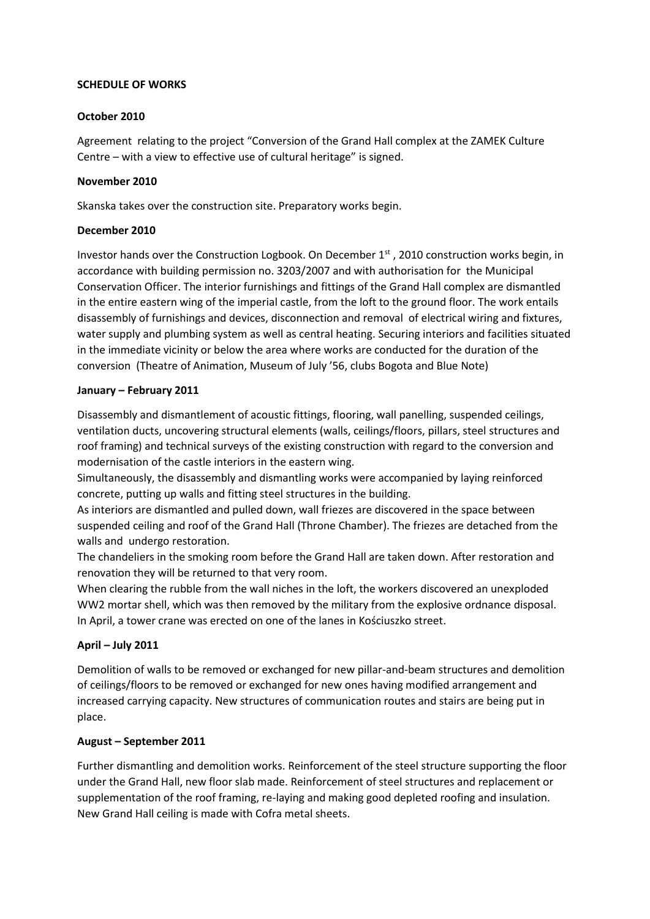## **SCHEDULE OF WORKS**

### **October 2010**

Agreement relating to the project "Conversion of the Grand Hall complex at the ZAMEK Culture Centre – with a view to effective use of cultural heritage" is signed.

### **November 2010**

Skanska takes over the construction site. Preparatory works begin.

## **December 2010**

Investor hands over the Construction Logbook. On December  $1<sup>st</sup>$ , 2010 construction works begin, in accordance with building permission no. 3203/2007 and with authorisation for the Municipal Conservation Officer. The interior furnishings and fittings of the Grand Hall complex are dismantled in the entire eastern wing of the imperial castle, from the loft to the ground floor. The work entails disassembly of furnishings and devices, disconnection and removal of electrical wiring and fixtures, water supply and plumbing system as well as central heating. Securing interiors and facilities situated in the immediate vicinity or below the area where works are conducted for the duration of the conversion (Theatre of Animation, Museum of July '56, clubs Bogota and Blue Note)

## **January – February 2011**

Disassembly and dismantlement of acoustic fittings, flooring, wall panelling, suspended ceilings, ventilation ducts, uncovering structural elements (walls, ceilings/floors, pillars, steel structures and roof framing) and technical surveys of the existing construction with regard to the conversion and modernisation of the castle interiors in the eastern wing.

Simultaneously, the disassembly and dismantling works were accompanied by laying reinforced concrete, putting up walls and fitting steel structures in the building.

As interiors are dismantled and pulled down, wall friezes are discovered in the space between suspended ceiling and roof of the Grand Hall (Throne Chamber). The friezes are detached from the walls and undergo restoration.

The chandeliers in the smoking room before the Grand Hall are taken down. After restoration and renovation they will be returned to that very room.

When clearing the rubble from the wall niches in the loft, the workers discovered an unexploded WW2 mortar shell, which was then removed by the military from the explosive ordnance disposal. In April, a tower crane was erected on one of the lanes in Kościuszko street.

# **April – July 2011**

Demolition of walls to be removed or exchanged for new pillar-and-beam structures and demolition of ceilings/floors to be removed or exchanged for new ones having modified arrangement and increased carrying capacity. New structures of communication routes and stairs are being put in place.

### **August – September 2011**

Further dismantling and demolition works. Reinforcement of the steel structure supporting the floor under the Grand Hall, new floor slab made. Reinforcement of steel structures and replacement or supplementation of the roof framing, re-laying and making good depleted roofing and insulation. New Grand Hall ceiling is made with Cofra metal sheets.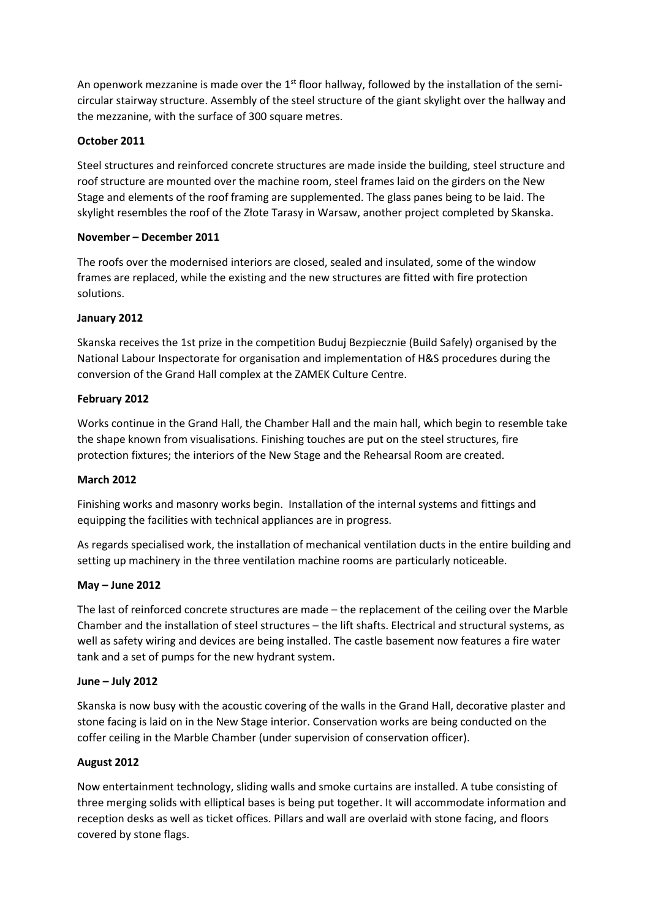An openwork mezzanine is made over the 1<sup>st</sup> floor hallway, followed by the installation of the semicircular stairway structure. Assembly of the steel structure of the giant skylight over the hallway and the mezzanine, with the surface of 300 square metres.

# **October 2011**

Steel structures and reinforced concrete structures are made inside the building, steel structure and roof structure are mounted over the machine room, steel frames laid on the girders on the New Stage and elements of the roof framing are supplemented. The glass panes being to be laid. The skylight resembles the roof of the Złote Tarasy in Warsaw, another project completed by Skanska.

# **November – December 2011**

The roofs over the modernised interiors are closed, sealed and insulated, some of the window frames are replaced, while the existing and the new structures are fitted with fire protection solutions.

# **January 2012**

Skanska receives the 1st prize in the competition Buduj Bezpiecznie (Build Safely) organised by the National Labour Inspectorate for organisation and implementation of H&S procedures during the conversion of the Grand Hall complex at the ZAMEK Culture Centre.

## **February 2012**

Works continue in the Grand Hall, the Chamber Hall and the main hall, which begin to resemble take the shape known from visualisations. Finishing touches are put on the steel structures, fire protection fixtures; the interiors of the New Stage and the Rehearsal Room are created.

### **March 2012**

Finishing works and masonry works begin. Installation of the internal systems and fittings and equipping the facilities with technical appliances are in progress.

As regards specialised work, the installation of mechanical ventilation ducts in the entire building and setting up machinery in the three ventilation machine rooms are particularly noticeable.

# **May – June 2012**

The last of reinforced concrete structures are made – the replacement of the ceiling over the Marble Chamber and the installation of steel structures – the lift shafts. Electrical and structural systems, as well as safety wiring and devices are being installed. The castle basement now features a fire water tank and a set of pumps for the new hydrant system.

### **June – July 2012**

Skanska is now busy with the acoustic covering of the walls in the Grand Hall, decorative plaster and stone facing is laid on in the New Stage interior. Conservation works are being conducted on the coffer ceiling in the Marble Chamber (under supervision of conservation officer).

### **August 2012**

Now entertainment technology, sliding walls and smoke curtains are installed. A tube consisting of three merging solids with elliptical bases is being put together. It will accommodate information and reception desks as well as ticket offices. Pillars and wall are overlaid with stone facing, and floors covered by stone flags.